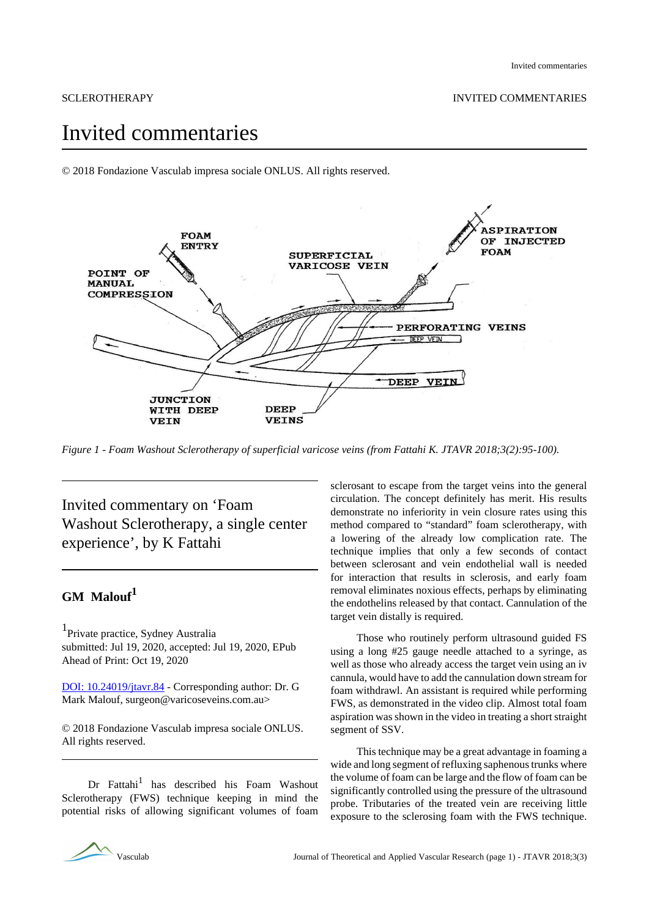# Invited commentaries

© 2018 Fondazione Vasculab impresa sociale ONLUS. All rights reserved.



*Figure 1 - Foam Washout Sclerotherapy of superficial varicose veins (from Fattahi K. JTAVR 2018;3(2):95-100).*

Invited commentary on 'Foam Washout Sclerotherapy, a single center experience', by K Fattahi

## **GM Malouf<sup>1</sup>**

1 Private practice, Sydney Australia submitted: Jul 19, 2020, accepted: Jul 19, 2020, EPub Ahead of Print: Oct 19, 2020

[DOI: 10.24019/jtavr.84](https://doi.org/10.24019/jtavr.84) - Corresponding author: Dr. G Mark Malouf, surgeon@varicoseveins.com.au>

© 2018 Fondazione Vasculab impresa sociale ONLUS. All rights reserved.

Dr Fattahi<sup>1</sup> has described his Foam Washout Sclerotherapy (FWS) technique keeping in mind the potential risks of allowing significant volumes of foam

sclerosant to escape from the target veins into the general circulation. The concept definitely has merit. His results demonstrate no inferiority in vein closure rates using this method compared to "standard" foam sclerotherapy, with a lowering of the already low complication rate. The technique implies that only a few seconds of contact between sclerosant and vein endothelial wall is needed for interaction that results in sclerosis, and early foam removal eliminates noxious effects, perhaps by eliminating the endothelins released by that contact. Cannulation of the target vein distally is required.

Those who routinely perform ultrasound guided FS using a long #25 gauge needle attached to a syringe, as well as those who already access the target vein using an iv cannula, would have to add the cannulation down stream for foam withdrawl. An assistant is required while performing FWS, as demonstrated in the video clip. Almost total foam aspiration was shown in the video in treating a short straight segment of SSV.

This technique may be a great advantage in foaming a wide and long segment of refluxing saphenous trunks where the volume of foam can be large and the flow of foam can be significantly controlled using the pressure of the ultrasound probe. Tributaries of the treated vein are receiving little exposure to the sclerosing foam with the FWS technique.

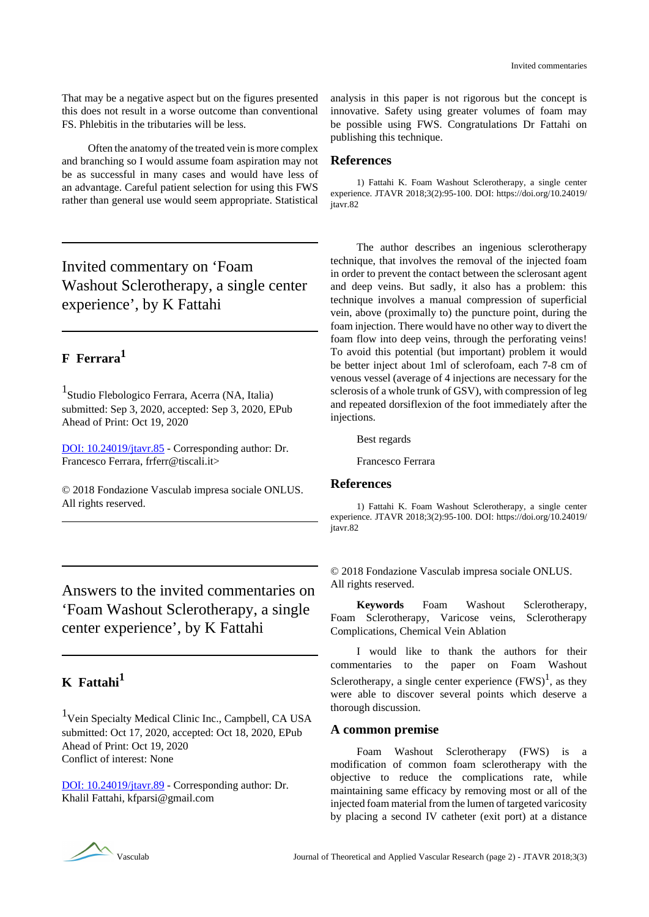That may be a negative aspect but on the figures presented this does not result in a worse outcome than conventional FS. Phlebitis in the tributaries will be less.

Often the anatomy of the treated vein is more complex and branching so I would assume foam aspiration may not be as successful in many cases and would have less of an advantage. Careful patient selection for using this FWS rather than general use would seem appropriate. Statistical

Invited commentary on 'Foam Washout Sclerotherapy, a single center experience', by K Fattahi

# **F Ferrara<sup>1</sup>**

1 Studio Flebologico Ferrara, Acerra (NA, Italia) submitted: Sep 3, 2020, accepted: Sep 3, 2020, EPub Ahead of Print: Oct 19, 2020

[DOI: 10.24019/jtavr.85](https://doi.org/10.24019/jtavr.85) - Corresponding author: Dr. Francesco Ferrara, frferr@tiscali.it>

© 2018 Fondazione Vasculab impresa sociale ONLUS. All rights reserved.

Answers to the invited commentaries on 'Foam Washout Sclerotherapy, a single center experience', by K Fattahi

# **K Fattahi<sup>1</sup>**

<sup>1</sup>Vein Specialty Medical Clinic Inc., Campbell, CA USA submitted: Oct 17, 2020, accepted: Oct 18, 2020, EPub Ahead of Print: Oct 19, 2020 Conflict of interest: None

[DOI: 10.24019/jtavr.89](https://doi.org/10.24019/jtavr.89) - Corresponding author: Dr. Khalil Fattahi, kfparsi@gmail.com

analysis in this paper is not rigorous but the concept is innovative. Safety using greater volumes of foam may be possible using FWS. Congratulations Dr Fattahi on publishing this technique.

#### **References**

1) Fattahi K. Foam Washout Sclerotherapy, a single center experience. JTAVR 2018;3(2):95-100. DOI: https://doi.org/10.24019/ itavr.82

The author describes an ingenious sclerotherapy technique, that involves the removal of the injected foam in order to prevent the contact between the sclerosant agent and deep veins. But sadly, it also has a problem: this technique involves a manual compression of superficial vein, above (proximally to) the puncture point, during the foam injection. There would have no other way to divert the foam flow into deep veins, through the perforating veins! To avoid this potential (but important) problem it would be better inject about 1ml of sclerofoam, each 7-8 cm of venous vessel (average of 4 injections are necessary for the sclerosis of a whole trunk of GSV), with compression of leg and repeated dorsiflexion of the foot immediately after the injections.

Best regards

Francesco Ferrara

### **References**

1) Fattahi K. Foam Washout Sclerotherapy, a single center experience. JTAVR 2018;3(2):95-100. DOI: https://doi.org/10.24019/ itavr.82

© 2018 Fondazione Vasculab impresa sociale ONLUS. All rights reserved.

**Keywords** Foam Washout Sclerotherapy, Foam Sclerotherapy, Varicose veins, Sclerotherapy Complications, Chemical Vein Ablation

I would like to thank the authors for their commentaries to the paper on Foam Washout Sclerotherapy, a single center experience  $(FWS)^{1}$ , as they were able to discover several points which deserve a thorough discussion.

#### **A common premise**

Foam Washout Sclerotherapy (FWS) is a modification of common foam sclerotherapy with the objective to reduce the complications rate, while maintaining same efficacy by removing most or all of the injected foam material from the lumen of targeted varicosity by placing a second IV catheter (exit port) at a distance